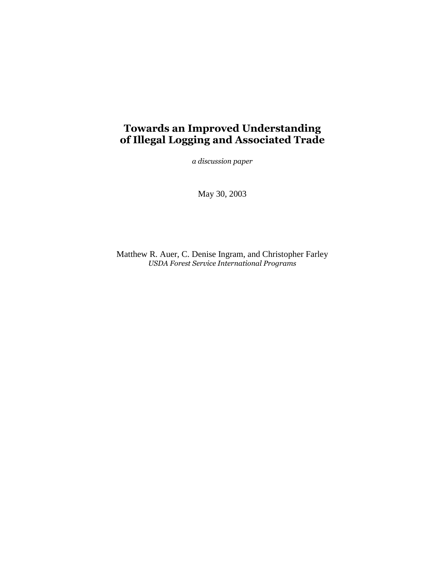# **Towards an Improved Understanding of Illegal Logging and Associated Trade**

*a discussion paper*

May 30, 2003

Matthew R. Auer, C. Denise Ingram, and Christopher Farley *USDA Forest Service International Programs*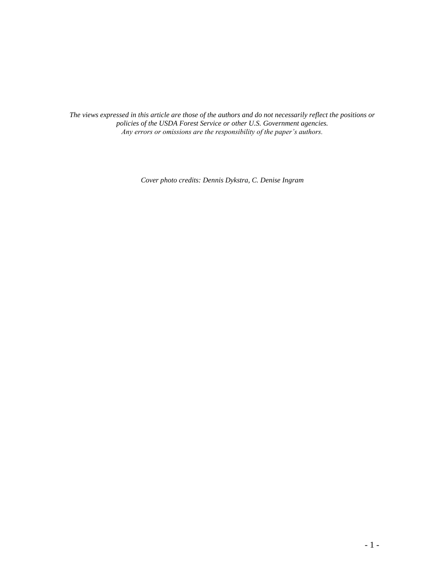*The views expressed in this article are those of the authors and do not necessarily reflect the positions or policies of the USDA Forest Service or other U.S. Government agencies. Any errors or omissions are the responsibility of the paper's authors.*

*Cover photo credits: Dennis Dykstra, C. Denise Ingram*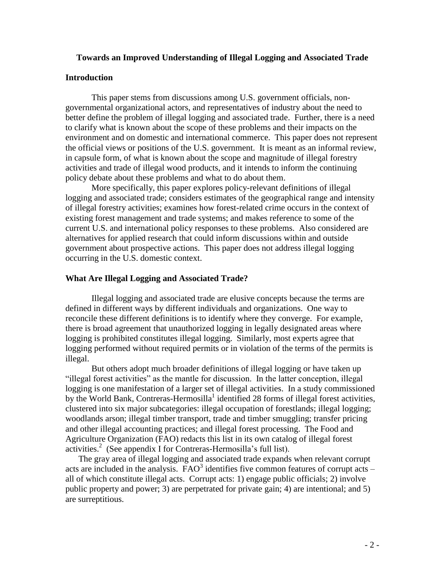### **Towards an Improved Understanding of Illegal Logging and Associated Trade**

### **Introduction**

This paper stems from discussions among U.S. government officials, nongovernmental organizational actors, and representatives of industry about the need to better define the problem of illegal logging and associated trade. Further, there is a need to clarify what is known about the scope of these problems and their impacts on the environment and on domestic and international commerce. This paper does not represent the official views or positions of the U.S. government. It is meant as an informal review, in capsule form, of what is known about the scope and magnitude of illegal forestry activities and trade of illegal wood products, and it intends to inform the continuing policy debate about these problems and what to do about them.

More specifically, this paper explores policy-relevant definitions of illegal logging and associated trade; considers estimates of the geographical range and intensity of illegal forestry activities; examines how forest-related crime occurs in the context of existing forest management and trade systems; and makes reference to some of the current U.S. and international policy responses to these problems. Also considered are alternatives for applied research that could inform discussions within and outside government about prospective actions. This paper does not address illegal logging occurring in the U.S. domestic context.

### **What Are Illegal Logging and Associated Trade?**

Illegal logging and associated trade are elusive concepts because the terms are defined in different ways by different individuals and organizations. One way to reconcile these different definitions is to identify where they converge. For example, there is broad agreement that unauthorized logging in legally designated areas where logging is prohibited constitutes illegal logging. Similarly, most experts agree that logging performed without required permits or in violation of the terms of the permits is illegal.

But others adopt much broader definitions of illegal logging or have taken up "illegal forest activities" as the mantle for discussion. In the latter conception, illegal logging is one manifestation of a larger set of illegal activities. In a study commissioned by the World Bank, Contreras-Hermosilla<sup>1</sup> identified 28 forms of illegal forest activities, clustered into six major subcategories: illegal occupation of forestlands; illegal logging; woodlands arson; illegal timber transport, trade and timber smuggling; transfer pricing and other illegal accounting practices; and illegal forest processing. The Food and Agriculture Organization (FAO) redacts this list in its own catalog of illegal forest activities.<sup>2</sup> (See appendix I for Contreras-Hermosilla's full list).

The gray area of illegal logging and associated trade expands when relevant corrupt acts are included in the analysis.  $\overline{FAO}^3$  identifies five common features of corrupt acts – all of which constitute illegal acts. Corrupt acts: 1) engage public officials; 2) involve public property and power; 3) are perpetrated for private gain; 4) are intentional; and 5) are surreptitious.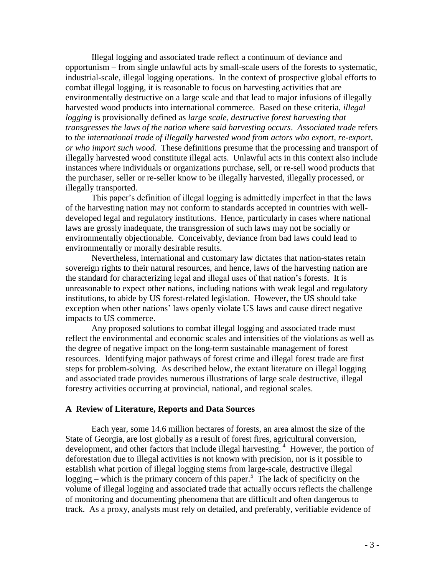Illegal logging and associated trade reflect a continuum of deviance and opportunism – from single unlawful acts by small-scale users of the forests to systematic, industrial-scale, illegal logging operations. In the context of prospective global efforts to combat illegal logging, it is reasonable to focus on harvesting activities that are environmentally destructive on a large scale and that lead to major infusions of illegally harvested wood products into international commerce. Based on these criteria, *illegal logging* is provisionally defined as *large scale, destructive forest harvesting that transgresses the laws of the nation where said harvesting occurs*. *Associated trade* refers to *the international trade of illegally harvested wood from actors who export, re-export, or who import such wood.* These definitions presume that the processing and transport of illegally harvested wood constitute illegal acts. Unlawful acts in this context also include instances where individuals or organizations purchase, sell, or re-sell wood products that the purchaser, seller or re-seller know to be illegally harvested, illegally processed, or illegally transported.

This paper's definition of illegal logging is admittedly imperfect in that the laws of the harvesting nation may not conform to standards accepted in countries with welldeveloped legal and regulatory institutions. Hence, particularly in cases where national laws are grossly inadequate, the transgression of such laws may not be socially or environmentally objectionable. Conceivably, deviance from bad laws could lead to environmentally or morally desirable results.

Nevertheless, international and customary law dictates that nation-states retain sovereign rights to their natural resources, and hence, laws of the harvesting nation are the standard for characterizing legal and illegal uses of that nation's forests. It is unreasonable to expect other nations, including nations with weak legal and regulatory institutions, to abide by US forest-related legislation. However, the US should take exception when other nations' laws openly violate US laws and cause direct negative impacts to US commerce.

Any proposed solutions to combat illegal logging and associated trade must reflect the environmental and economic scales and intensities of the violations as well as the degree of negative impact on the long-term sustainable management of forest resources. Identifying major pathways of forest crime and illegal forest trade are first steps for problem-solving. As described below, the extant literature on illegal logging and associated trade provides numerous illustrations of large scale destructive, illegal forestry activities occurring at provincial, national, and regional scales.

### **A Review of Literature, Reports and Data Sources**

Each year, some 14.6 million hectares of forests, an area almost the size of the State of Georgia, are lost globally as a result of forest fires, agricultural conversion, development, and other factors that include illegal harvesting.<sup>4</sup> However, the portion of deforestation due to illegal activities is not known with precision, nor is it possible to establish what portion of illegal logging stems from large-scale, destructive illegal logging – which is the primary concern of this paper.<sup>5</sup> The lack of specificity on the volume of illegal logging and associated trade that actually occurs reflects the challenge of monitoring and documenting phenomena that are difficult and often dangerous to track. As a proxy, analysts must rely on detailed, and preferably, verifiable evidence of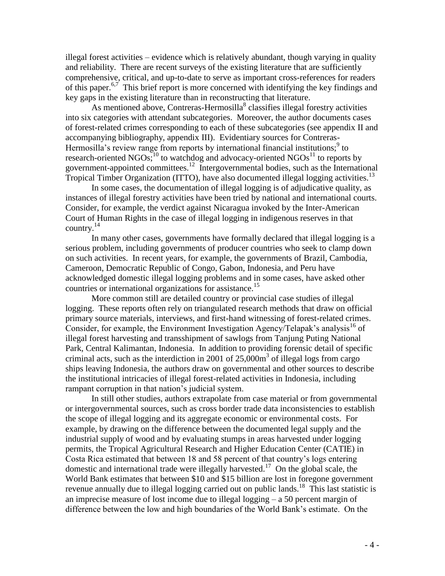illegal forest activities – evidence which is relatively abundant, though varying in quality and reliability. There are recent surveys of the existing literature that are sufficiently comprehensive, critical, and up-to-date to serve as important cross-references for readers of this paper.<sup>6,7</sup> This brief report is more concerned with identifying the key findings and key gaps in the existing literature than in reconstructing that literature.

As mentioned above, Contreras-Hermosilla<sup>8</sup> classifies illegal forestry activities into six categories with attendant subcategories. Moreover, the author documents cases of forest-related crimes corresponding to each of these subcategories (see appendix II and accompanying bibliography, appendix III). Evidentiary sources for Contreras-Hermosilla's review range from reports by international financial institutions;<sup>9</sup> to research-oriented  $NGOs<sup>10</sup>$  to watchdog and advocacy-oriented  $NGOs<sup>11</sup>$  to reports by government-appointed committees.<sup>12</sup> Intergovernmental bodies, such as the International Tropical Timber Organization (ITTO), have also documented illegal logging activities.<sup>13</sup>

In some cases, the documentation of illegal logging is of adjudicative quality, as instances of illegal forestry activities have been tried by national and international courts. Consider, for example, the verdict against Nicaragua invoked by the Inter-American Court of Human Rights in the case of illegal logging in indigenous reserves in that country. $^{14}$ 

In many other cases, governments have formally declared that illegal logging is a serious problem, including governments of producer countries who seek to clamp down on such activities. In recent years, for example, the governments of Brazil, Cambodia, Cameroon, Democratic Republic of Congo, Gabon, Indonesia, and Peru have acknowledged domestic illegal logging problems and in some cases, have asked other countries or international organizations for assistance.<sup>15</sup>

More common still are detailed country or provincial case studies of illegal logging. These reports often rely on triangulated research methods that draw on official primary source materials, interviews, and first-hand witnessing of forest-related crimes. Consider, for example, the Environment Investigation Agency/Telapak's analysis<sup>16</sup> of illegal forest harvesting and transshipment of sawlogs from Tanjung Puting National Park, Central Kalimantan, Indonesia. In addition to providing forensic detail of specific criminal acts, such as the interdiction in 2001 of  $25,000m^3$  of illegal logs from cargo ships leaving Indonesia, the authors draw on governmental and other sources to describe the institutional intricacies of illegal forest-related activities in Indonesia, including rampant corruption in that nation's judicial system.

In still other studies, authors extrapolate from case material or from governmental or intergovernmental sources, such as cross border trade data inconsistencies to establish the scope of illegal logging and its aggregate economic or environmental costs. For example, by drawing on the difference between the documented legal supply and the industrial supply of wood and by evaluating stumps in areas harvested under logging permits, the Tropical Agricultural Research and Higher Education Center (CATIE) in Costa Rica estimated that between 18 and 58 percent of that country's logs entering domestic and international trade were illegally harvested.<sup>17</sup> On the global scale, the World Bank estimates that between \$10 and \$15 billion are lost in foregone government revenue annually due to illegal logging carried out on public lands.<sup>18</sup> This last statistic is an imprecise measure of lost income due to illegal logging – a 50 percent margin of difference between the low and high boundaries of the World Bank's estimate. On the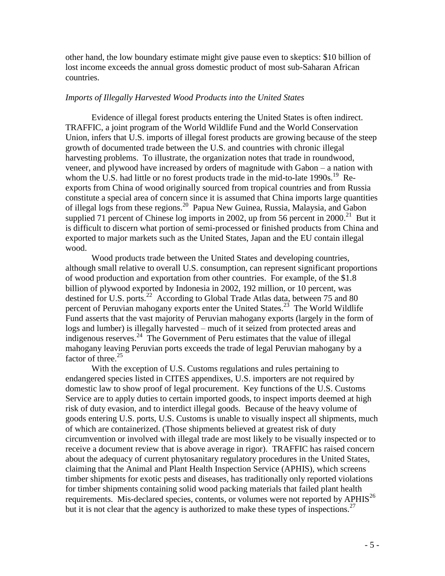other hand, the low boundary estimate might give pause even to skeptics: \$10 billion of lost income exceeds the annual gross domestic product of most sub-Saharan African countries.

## *Imports of Illegally Harvested Wood Products into the United States*

Evidence of illegal forest products entering the United States is often indirect. TRAFFIC, a joint program of the World Wildlife Fund and the World Conservation Union, infers that U.S. imports of illegal forest products are growing because of the steep growth of documented trade between the U.S. and countries with chronic illegal harvesting problems. To illustrate, the organization notes that trade in roundwood, veneer, and plywood have increased by orders of magnitude with Gabon – a nation with whom the U.S. had little or no forest products trade in the mid-to-late 1990s.<sup>19</sup> Reexports from China of wood originally sourced from tropical countries and from Russia constitute a special area of concern since it is assumed that China imports large quantities of illegal logs from these regions.<sup>20</sup> Papua New Guinea, Russia, Malaysia, and Gabon supplied 71 percent of Chinese log imports in 2002, up from 56 percent in  $2000$ <sup>21</sup> But it is difficult to discern what portion of semi-processed or finished products from China and exported to major markets such as the United States, Japan and the EU contain illegal wood.

Wood products trade between the United States and developing countries, although small relative to overall U.S. consumption, can represent significant proportions of wood production and exportation from other countries. For example, of the \$1.8 billion of plywood exported by Indonesia in 2002, 192 million, or 10 percent, was destined for U.S. ports.<sup>22</sup> According to Global Trade Atlas data, between 75 and 80 percent of Peruvian mahogany exports enter the United States.<sup>23</sup> The World Wildlife Fund asserts that the vast majority of Peruvian mahogany exports (largely in the form of logs and lumber) is illegally harvested – much of it seized from protected areas and indigenous reserves. 24 The Government of Peru estimates that the value of illegal mahogany leaving Peruvian ports exceeds the trade of legal Peruvian mahogany by a factor of three.<sup>25</sup>

With the exception of U.S. Customs regulations and rules pertaining to endangered species listed in CITES appendixes, U.S. importers are not required by domestic law to show proof of legal procurement. Key functions of the U.S. Customs Service are to apply duties to certain imported goods, to inspect imports deemed at high risk of duty evasion, and to interdict illegal goods. Because of the heavy volume of goods entering U.S. ports, U.S. Customs is unable to visually inspect all shipments, much of which are containerized. (Those shipments believed at greatest risk of duty circumvention or involved with illegal trade are most likely to be visually inspected or to receive a document review that is above average in rigor). TRAFFIC has raised concern about the adequacy of current phytosanitary regulatory procedures in the United States, claiming that the Animal and Plant Health Inspection Service (APHIS), which screens timber shipments for exotic pests and diseases, has traditionally only reported violations for timber shipments containing solid wood packing materials that failed plant health requirements. Mis-declared species, contents, or volumes were not reported by APHIS<sup>26</sup> but it is not clear that the agency is authorized to make these types of inspections.<sup>27</sup>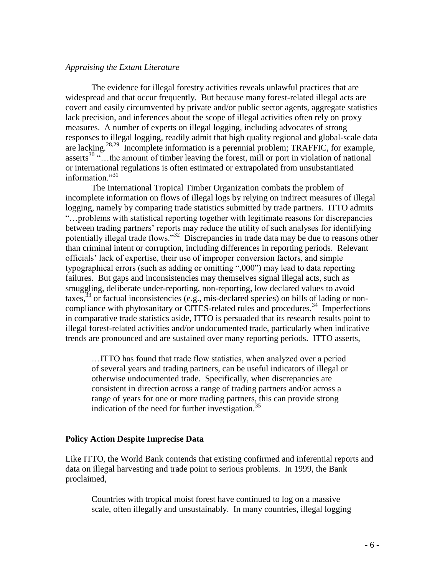### *Appraising the Extant Literature*

The evidence for illegal forestry activities reveals unlawful practices that are widespread and that occur frequently. But because many forest-related illegal acts are covert and easily circumvented by private and/or public sector agents, aggregate statistics lack precision, and inferences about the scope of illegal activities often rely on proxy measures. A number of experts on illegal logging, including advocates of strong responses to illegal logging, readily admit that high quality regional and global-scale data are lacking.<sup>28,29</sup> Incomplete information is a perennial problem; TRAFFIC, for example, asserts<sup>30 "</sup>... the amount of timber leaving the forest, mill or port in violation of national or international regulations is often estimated or extrapolated from unsubstantiated information."<sup>31</sup>

The International Tropical Timber Organization combats the problem of incomplete information on flows of illegal logs by relying on indirect measures of illegal logging, namely by comparing trade statistics submitted by trade partners. ITTO admits "…problems with statistical reporting together with legitimate reasons for discrepancies between trading partners' reports may reduce the utility of such analyses for identifying potentially illegal trade flows."<sup>32</sup> Discrepancies in trade data may be due to reasons other than criminal intent or corruption, including differences in reporting periods. Relevant officials' lack of expertise, their use of improper conversion factors, and simple typographical errors (such as adding or omitting ",000") may lead to data reporting failures. But gaps and inconsistencies may themselves signal illegal acts, such as smuggling, deliberate under-reporting, non-reporting, low declared values to avoid taxes, $33$  or factual inconsistencies (e.g., mis-declared species) on bills of lading or noncompliance with phytosanitary or CITES-related rules and procedures.<sup>34</sup> Imperfections in comparative trade statistics aside, ITTO is persuaded that its research results point to illegal forest-related activities and/or undocumented trade, particularly when indicative trends are pronounced and are sustained over many reporting periods. ITTO asserts,

…ITTO has found that trade flow statistics, when analyzed over a period of several years and trading partners, can be useful indicators of illegal or otherwise undocumented trade. Specifically, when discrepancies are consistent in direction across a range of trading partners and/or across a range of years for one or more trading partners, this can provide strong indication of the need for further investigation.<sup>35</sup>

### **Policy Action Despite Imprecise Data**

Like ITTO, the World Bank contends that existing confirmed and inferential reports and data on illegal harvesting and trade point to serious problems. In 1999, the Bank proclaimed,

Countries with tropical moist forest have continued to log on a massive scale, often illegally and unsustainably. In many countries, illegal logging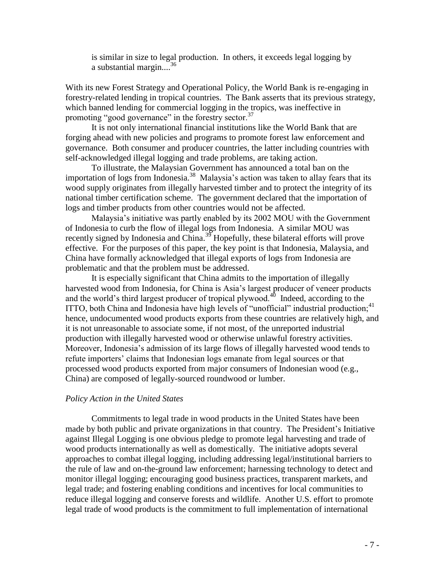is similar in size to legal production. In others, it exceeds legal logging by a substantial margin....<sup>36</sup>

With its new Forest Strategy and Operational Policy, the World Bank is re-engaging in forestry-related lending in tropical countries. The Bank asserts that its previous strategy, which banned lending for commercial logging in the tropics, was ineffective in promoting "good governance" in the forestry sector.<sup>37</sup>

It is not only international financial institutions like the World Bank that are forging ahead with new policies and programs to promote forest law enforcement and governance. Both consumer and producer countries, the latter including countries with self-acknowledged illegal logging and trade problems, are taking action.

To illustrate, the Malaysian Government has announced a total ban on the importation of logs from Indonesia.<sup>38</sup> Malaysia's action was taken to allay fears that its wood supply originates from illegally harvested timber and to protect the integrity of its national timber certification scheme. The government declared that the importation of logs and timber products from other countries would not be affected.

Malaysia's initiative was partly enabled by its 2002 MOU with the Government of Indonesia to curb the flow of illegal logs from Indonesia. A similar MOU was recently signed by Indonesia and China.<sup>39</sup> Hopefully, these bilateral efforts will prove effective. For the purposes of this paper, the key point is that Indonesia, Malaysia, and China have formally acknowledged that illegal exports of logs from Indonesia are problematic and that the problem must be addressed.

It is especially significant that China admits to the importation of illegally harvested wood from Indonesia, for China is Asia's largest producer of veneer products and the world's third largest producer of tropical plywood.<sup>40</sup> Indeed, according to the ITTO, both China and Indonesia have high levels of "unofficial" industrial production;<sup>41</sup> hence, undocumented wood products exports from these countries are relatively high, and it is not unreasonable to associate some, if not most, of the unreported industrial production with illegally harvested wood or otherwise unlawful forestry activities. Moreover, Indonesia's admission of its large flows of illegally harvested wood tends to refute importers' claims that Indonesian logs emanate from legal sources or that processed wood products exported from major consumers of Indonesian wood (e.g., China) are composed of legally-sourced roundwood or lumber.

#### *Policy Action in the United States*

Commitments to legal trade in wood products in the United States have been made by both public and private organizations in that country. The President's Initiative against Illegal Logging is one obvious pledge to promote legal harvesting and trade of wood products internationally as well as domestically. The initiative adopts several approaches to combat illegal logging, including addressing legal/institutional barriers to the rule of law and on-the-ground law enforcement; harnessing technology to detect and monitor illegal logging; encouraging good business practices, transparent markets, and legal trade; and fostering enabling conditions and incentives for local communities to reduce illegal logging and conserve forests and wildlife. Another U.S. effort to promote legal trade of wood products is the commitment to full implementation of international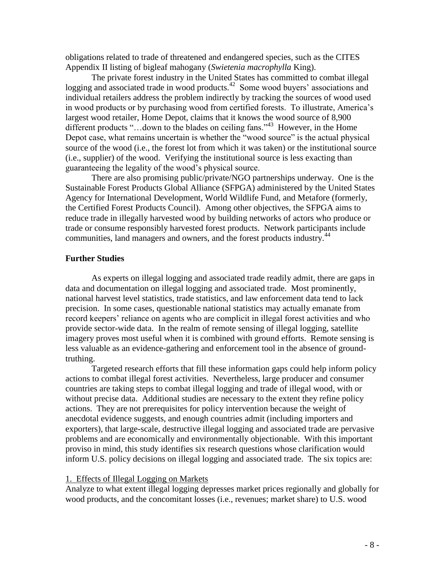obligations related to trade of threatened and endangered species, such as the CITES Appendix II listing of bigleaf mahogany (*Swietenia macrophylla* King).

The private forest industry in the United States has committed to combat illegal logging and associated trade in wood products.<sup>42</sup> Some wood buyers' associations and individual retailers address the problem indirectly by tracking the sources of wood used in wood products or by purchasing wood from certified forests. To illustrate, America's largest wood retailer, Home Depot, claims that it knows the wood source of 8,900 different products "...down to the blades on ceiling fans."<sup>43</sup> However, in the Home Depot case, what remains uncertain is whether the "wood source" is the actual physical source of the wood (i.e., the forest lot from which it was taken) or the institutional source (i.e., supplier) of the wood. Verifying the institutional source is less exacting than guaranteeing the legality of the wood's physical source.

There are also promising public/private/NGO partnerships underway. One is the Sustainable Forest Products Global Alliance (SFPGA) administered by the United States Agency for International Development, World Wildlife Fund, and Metafore (formerly, the Certified Forest Products Council). Among other objectives, the SFPGA aims to reduce trade in illegally harvested wood by building networks of actors who produce or trade or consume responsibly harvested forest products. Network participants include communities, land managers and owners, and the forest products industry.<sup>44</sup>

### **Further Studies**

As experts on illegal logging and associated trade readily admit, there are gaps in data and documentation on illegal logging and associated trade. Most prominently, national harvest level statistics, trade statistics, and law enforcement data tend to lack precision. In some cases, questionable national statistics may actually emanate from record keepers' reliance on agents who are complicit in illegal forest activities and who provide sector-wide data. In the realm of remote sensing of illegal logging, satellite imagery proves most useful when it is combined with ground efforts. Remote sensing is less valuable as an evidence-gathering and enforcement tool in the absence of groundtruthing.

Targeted research efforts that fill these information gaps could help inform policy actions to combat illegal forest activities. Nevertheless, large producer and consumer countries are taking steps to combat illegal logging and trade of illegal wood, with or without precise data. Additional studies are necessary to the extent they refine policy actions. They are not prerequisites for policy intervention because the weight of anecdotal evidence suggests, and enough countries admit (including importers and exporters), that large-scale, destructive illegal logging and associated trade are pervasive problems and are economically and environmentally objectionable. With this important proviso in mind, this study identifies six research questions whose clarification would inform U.S. policy decisions on illegal logging and associated trade. The six topics are:

### 1. Effects of Illegal Logging on Markets

Analyze to what extent illegal logging depresses market prices regionally and globally for wood products, and the concomitant losses (i.e., revenues; market share) to U.S. wood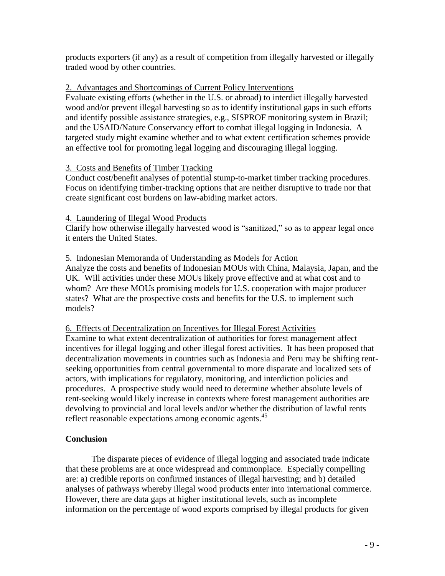products exporters (if any) as a result of competition from illegally harvested or illegally traded wood by other countries.

# 2. Advantages and Shortcomings of Current Policy Interventions

Evaluate existing efforts (whether in the U.S. or abroad) to interdict illegally harvested wood and/or prevent illegal harvesting so as to identify institutional gaps in such efforts and identify possible assistance strategies, e.g., SISPROF monitoring system in Brazil; and the USAID/Nature Conservancy effort to combat illegal logging in Indonesia. A targeted study might examine whether and to what extent certification schemes provide an effective tool for promoting legal logging and discouraging illegal logging.

# 3. Costs and Benefits of Timber Tracking

Conduct cost/benefit analyses of potential stump-to-market timber tracking procedures. Focus on identifying timber-tracking options that are neither disruptive to trade nor that create significant cost burdens on law-abiding market actors.

# 4. Laundering of Illegal Wood Products

Clarify how otherwise illegally harvested wood is "sanitized," so as to appear legal once it enters the United States.

# 5. Indonesian Memoranda of Understanding as Models for Action

Analyze the costs and benefits of Indonesian MOUs with China, Malaysia, Japan, and the UK. Will activities under these MOUs likely prove effective and at what cost and to whom? Are these MOUs promising models for U.S. cooperation with major producer states? What are the prospective costs and benefits for the U.S. to implement such models?

# 6. Effects of Decentralization on Incentives for Illegal Forest Activities

Examine to what extent decentralization of authorities for forest management affect incentives for illegal logging and other illegal forest activities. It has been proposed that decentralization movements in countries such as Indonesia and Peru may be shifting rentseeking opportunities from central governmental to more disparate and localized sets of actors, with implications for regulatory, monitoring, and interdiction policies and procedures. A prospective study would need to determine whether absolute levels of rent-seeking would likely increase in contexts where forest management authorities are devolving to provincial and local levels and/or whether the distribution of lawful rents reflect reasonable expectations among economic agents.<sup>45</sup>

# **Conclusion**

The disparate pieces of evidence of illegal logging and associated trade indicate that these problems are at once widespread and commonplace. Especially compelling are: a) credible reports on confirmed instances of illegal harvesting; and b) detailed analyses of pathways whereby illegal wood products enter into international commerce. However, there are data gaps at higher institutional levels, such as incomplete information on the percentage of wood exports comprised by illegal products for given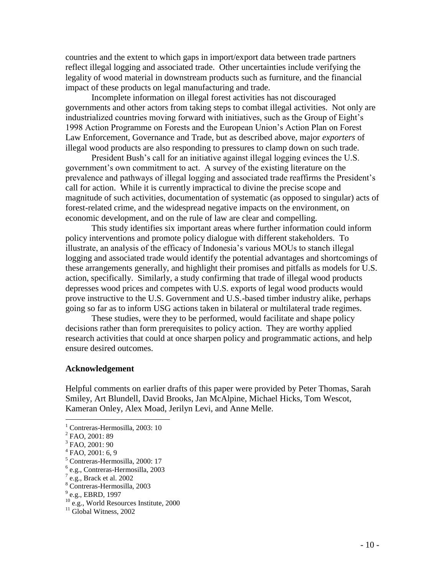countries and the extent to which gaps in import/export data between trade partners reflect illegal logging and associated trade. Other uncertainties include verifying the legality of wood material in downstream products such as furniture, and the financial impact of these products on legal manufacturing and trade.

Incomplete information on illegal forest activities has not discouraged governments and other actors from taking steps to combat illegal activities. Not only are industrialized countries moving forward with initiatives, such as the Group of Eight's 1998 Action Programme on Forests and the European Union's Action Plan on Forest Law Enforcement, Governance and Trade, but as described above, major *exporters* of illegal wood products are also responding to pressures to clamp down on such trade.

President Bush's call for an initiative against illegal logging evinces the U.S. government's own commitment to act. A survey of the existing literature on the prevalence and pathways of illegal logging and associated trade reaffirms the President's call for action. While it is currently impractical to divine the precise scope and magnitude of such activities, documentation of systematic (as opposed to singular) acts of forest-related crime, and the widespread negative impacts on the environment, on economic development, and on the rule of law are clear and compelling.

This study identifies six important areas where further information could inform policy interventions and promote policy dialogue with different stakeholders. To illustrate, an analysis of the efficacy of Indonesia's various MOUs to stanch illegal logging and associated trade would identify the potential advantages and shortcomings of these arrangements generally, and highlight their promises and pitfalls as models for U.S. action, specifically. Similarly, a study confirming that trade of illegal wood products depresses wood prices and competes with U.S. exports of legal wood products would prove instructive to the U.S. Government and U.S.-based timber industry alike, perhaps going so far as to inform USG actions taken in bilateral or multilateral trade regimes.

These studies, were they to be performed, would facilitate and shape policy decisions rather than form prerequisites to policy action. They are worthy applied research activities that could at once sharpen policy and programmatic actions, and help ensure desired outcomes.

### **Acknowledgement**

Helpful comments on earlier drafts of this paper were provided by Peter Thomas, Sarah Smiley, Art Blundell, David Brooks, Jan McAlpine, Michael Hicks, Tom Wescot, Kameran Onley, Alex Moad, Jerilyn Levi, and Anne Melle.

 $\overline{a}$ 

<sup>&</sup>lt;sup>1</sup> Contreras-Hermosilla, 2003: 10

<sup>&</sup>lt;sup>2</sup> FAO, 2001: 89

<sup>3</sup> FAO, 2001: 90

 $4$  FAO, 2001: 6, 9

<sup>5</sup> Contreras-Hermosilla, 2000: 17

<sup>6</sup> e.g., Contreras-Hermosilla, 2003

 $7$  e.g., Brack et al. 2002

<sup>8</sup> Contreras-Hermosilla, 2003

<sup>&</sup>lt;sup>9</sup> e.g., EBRD, 1997

 $10^{\circ}$  e.g., World Resources Institute, 2000

 $11$  Global Witness, 2002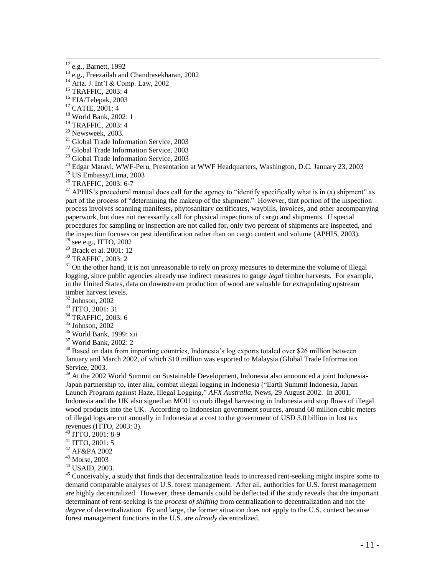$12$  e.g., Barnett, 1992

 $\overline{a}$ 

<sup>13</sup> e.g., Freezailah and Chandrasekharan, 2002

<sup>15</sup> TRAFFIC, 2003: 4

<sup>16</sup> EIA/Telepak, 2003

<sup>17</sup> CATIE, 2001: 4

<sup>18</sup> World Bank, 2002: 1

<sup>19</sup> TRAFFIC, 2003: 4

 $20$  Newsweek, 2003.

<sup>21</sup> Global Trade Information Service, 2003

<sup>22</sup> Global Trade Information Service, 2003

<sup>23</sup> Global Trade Information Service, 2003

<sup>24</sup> Edgar Maravi, WWF-Peru, Presentation at WWF Headquarters, Washington, D.C. January 23, 2003

 $25$  US Embassy/Lima, 2003

<sup>26</sup> TRAFFIC, 2003: 6-7

<sup>27</sup> APHIS's procedural manual does call for the agency to "identify specifically what is in (a) shipment" as part of the process of "determining the makeup of the shipment." However, that portion of the inspection process involves scanning manifests, phytosanitary certificates, waybills, invoices, and other accompanying paperwork, but does not necessarily call for physical inspections of cargo and shipments. If special procedures for sampling or inspection are not called for, only two percent of shipments are inspected, and the inspection focuses on pest identification rather than on cargo content and volume (APHIS, 2003).

<sup>28</sup> see e.g., ITTO, 2002

<sup>29</sup> Brack et al. 2001: 12

<sup>30</sup> TRAFFIC, 2003: 2

 $31$  On the other hand, it is not unreasonable to rely on proxy measures to determine the volume of illegal logging, since public agencies already use indirect measures to gauge *legal* timber harvests. For example, in the United States, data on downstream production of wood are valuable for extrapolating upstream timber harvest levels.

<sup>32</sup> Johnson, 2002

<sup>33</sup> ITTO, 2001: 31

<sup>34</sup> TRAFFIC, 2003: 6

<sup>35</sup> Johnson, 2002

<sup>36</sup> World Bank, 1999: xii

<sup>37</sup> World Bank, 2002: 2

 $38$  Based on data from importing countries, Indonesia's log exports totaled over \$26 million between January and March 2002, of which \$10 million was exported to Malaysia (Global Trade Information Service, 2003.

 $39$  At the 2002 World Summit on Sustainable Development, Indonesia also announced a joint Indonesia-Japan partnership to, inter alia, combat illegal logging in Indonesia ("Earth Summit Indonesia, Japan Launch Program against Haze, Illegal Logging," *AFX Australia*, News, 29 August 2002. In 2001, Indonesia and the UK also signed an MOU to curb illegal harvesting in Indonesia and stop flows of illegal wood products into the UK. According to Indonesian government sources, around 60 million cubic meters of illegal logs are cut annually in Indonesia at a cost to the government of USD 3.0 billion in lost tax revenues (ITTO, 2003: 3).

<sup>40</sup> ITTO, 2001: 8-9

<sup>41</sup> ITTO, 2001: 5

<sup>42</sup> AF&PA 2002

<sup>43</sup> Morse, 2003

<sup>44</sup> USAID, 2003.

<sup>45</sup> Conceivably, a study that finds that decentralization leads to increased rent-seeking might inspire some to demand comparable analyses of U.S. forest management. After all, authorities for U.S. forest management are highly decentralized. However, these demands could be deflected if the study reveals that the important determinant of rent-seeking is the *process of shifting* from centralization to decentralization and not the *degree* of decentralization. By and large, the former situation does not apply to the U.S. context because forest management functions in the U.S. are *already* decentralized.

<sup>14</sup> Ariz. J. Int'l & Comp. Law, 2002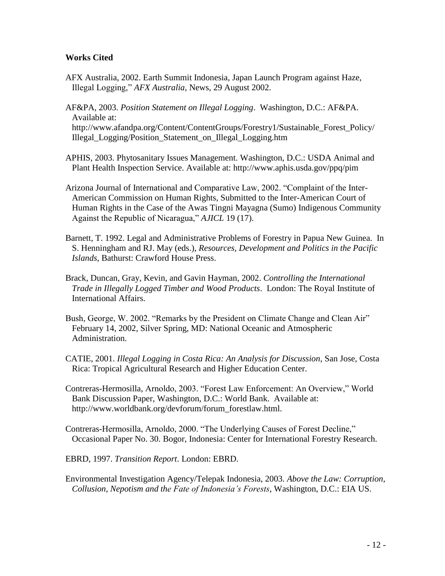# **Works Cited**

AFX Australia, 2002. Earth Summit Indonesia, Japan Launch Program against Haze, Illegal Logging," *AFX Australia*, News, 29 August 2002.

AF&PA, 2003. *Position Statement on Illegal Logging*. Washington, D.C.: AF&PA. Available at: http://www.afandpa.org/Content/ContentGroups/Forestry1/Sustainable\_Forest\_Policy/ Illegal\_Logging/Position\_Statement\_on\_Illegal\_Logging.htm

- APHIS, 2003. Phytosanitary Issues Management. Washington, D.C.: USDA Animal and Plant Health Inspection Service. Available at: http://www.aphis.usda.gov/ppq/pim
- Arizona Journal of International and Comparative Law, 2002. "Complaint of the Inter-American Commission on Human Rights, Submitted to the Inter-American Court of Human Rights in the Case of the Awas Tingni Mayagna (Sumo) Indigenous Community Against the Republic of Nicaragua," *AJICL* 19 (17).
- Barnett, T. 1992. Legal and Administrative Problems of Forestry in Papua New Guinea. In S. Henningham and RJ. May (eds.), *Resources, Development and Politics in the Pacific Islands*, Bathurst: Crawford House Press.
- Brack, Duncan, Gray, Kevin, and Gavin Hayman, 2002. *Controlling the International Trade in Illegally Logged Timber and Wood Products*. London: The Royal Institute of International Affairs.
- Bush, George, W. 2002. "Remarks by the President on Climate Change and Clean Air" February 14, 2002, Silver Spring, MD: National Oceanic and Atmospheric Administration.
- CATIE, 2001. *Illegal Logging in Costa Rica: An Analysis for Discussion*, San Jose, Costa Rica: Tropical Agricultural Research and Higher Education Center.
- Contreras-Hermosilla, Arnoldo, 2003. "Forest Law Enforcement: An Overview," World Bank Discussion Paper, Washington, D.C.: World Bank. Available at: http://www.worldbank.org/devforum/forum\_forestlaw.html.
- Contreras-Hermosilla, Arnoldo, 2000. "The Underlying Causes of Forest Decline," Occasional Paper No. 30. Bogor, Indonesia: Center for International Forestry Research.
- EBRD, 1997. *Transition Report*. London: EBRD.
- Environmental Investigation Agency/Telepak Indonesia, 2003. *Above the Law: Corruption, Collusion, Nepotism and the Fate of Indonesia's Forests*, Washington, D.C.: EIA US.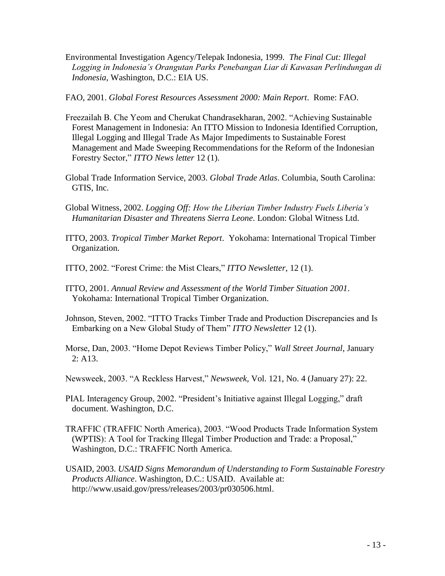- Environmental Investigation Agency/Telepak Indonesia, 1999. *The Final Cut: Illegal Logging in Indonesia's Orangutan Parks Penebangan Liar di Kawasan Perlindungan di Indonesia*, Washington, D.C.: EIA US.
- FAO, 2001. *Global Forest Resources Assessment 2000: Main Report*. Rome: FAO.
- Freezailah B. Che Yeom and Cherukat Chandrasekharan, 2002. "Achieving Sustainable Forest Management in Indonesia: An ITTO Mission to Indonesia Identified Corruption, Illegal Logging and Illegal Trade As Major Impediments to Sustainable Forest Management and Made Sweeping Recommendations for the Reform of the Indonesian Forestry Sector," *ITTO News letter* 12 (1).
- Global Trade Information Service, 2003. *Global Trade Atlas*. Columbia, South Carolina: GTIS, Inc.
- Global Witness, 2002. *Logging Off: How the Liberian Timber Industry Fuels Liberia's Humanitarian Disaster and Threatens Sierra Leone*. London: Global Witness Ltd.
- ITTO, 2003. *Tropical Timber Market Report*. Yokohama: International Tropical Timber Organization.
- ITTO, 2002. "Forest Crime: the Mist Clears," *ITTO Newsletter*, 12 (1).
- ITTO, 2001. *Annual Review and Assessment of the World Timber Situation 2001*. Yokohama: International Tropical Timber Organization.
- Johnson, Steven, 2002. "ITTO Tracks Timber Trade and Production Discrepancies and Is Embarking on a New Global Study of Them" *ITTO Newsletter* 12 (1).
- Morse, Dan, 2003. "Home Depot Reviews Timber Policy," *Wall Street Journal*, January 2: A13.
- Newsweek, 2003. "A Reckless Harvest," *Newsweek,* Vol. 121, No. 4 (January 27): 22.
- PIAL Interagency Group, 2002. "President's Initiative against Illegal Logging," draft document. Washington, D.C.
- TRAFFIC (TRAFFIC North America), 2003. "Wood Products Trade Information System (WPTIS): A Tool for Tracking Illegal Timber Production and Trade: a Proposal," Washington, D.C.: TRAFFIC North America.
- USAID, 2003. *USAID Signs Memorandum of Understanding to Form Sustainable Forestry Products Alliance*. Washington, D.C.: USAID. Available at: http://www.usaid.gov/press/releases/2003/pr030506.html.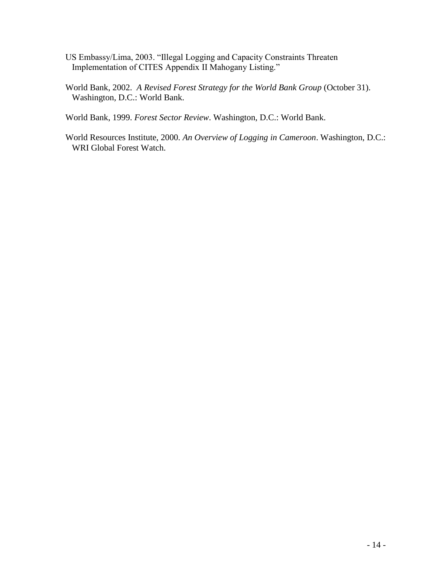- US Embassy/Lima, 2003. "Illegal Logging and Capacity Constraints Threaten Implementation of CITES Appendix II Mahogany Listing."
- World Bank, 2002. *A Revised Forest Strategy for the World Bank Group* (October 31). Washington, D.C.: World Bank.

World Bank, 1999. *Forest Sector Review*. Washington, D.C.: World Bank.

World Resources Institute, 2000. *An Overview of Logging in Cameroon*. Washington, D.C.: WRI Global Forest Watch.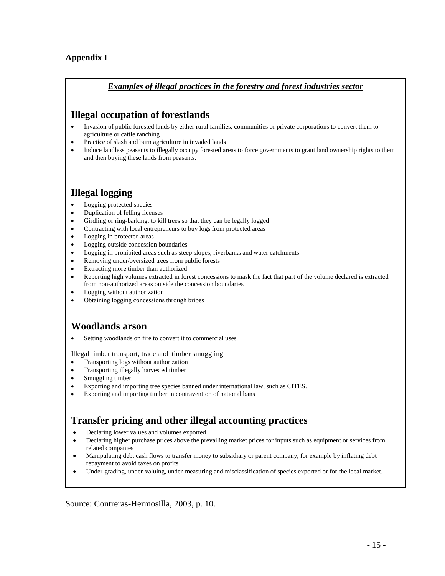## **Appendix I**

### *Examples of illegal practices in the forestry and forest industries sector*

# **Illegal occupation of forestlands**

- Invasion of public forested lands by either rural families, communities or private corporations to convert them to agriculture or cattle ranching
- Practice of slash and burn agriculture in invaded lands
- Induce landless peasants to illegally occupy forested areas to force governments to grant land ownership rights to them and then buying these lands from peasants.

# **Illegal logging**

- Logging protected species
- Duplication of felling licenses
- Girdling or ring-barking, to kill trees so that they can be legally logged
- Contracting with local entrepreneurs to buy logs from protected areas
- Logging in protected areas
- Logging outside concession boundaries
- Logging in prohibited areas such as steep slopes, riverbanks and water catchments
- Removing under/oversized trees from public forests
- Extracting more timber than authorized
- Reporting high volumes extracted in forest concessions to mask the fact that part of the volume declared is extracted from non-authorized areas outside the concession boundaries
- Logging without authorization
- Obtaining logging concessions through bribes

# **Woodlands arson**

Setting woodlands on fire to convert it to commercial uses

Illegal timber transport, trade and timber smuggling

- Transporting logs without authorization
- Transporting illegally harvested timber
- Smuggling timber
- Exporting and importing tree species banned under international law, such as CITES.
- Exporting and importing timber in contravention of national bans

# **Transfer pricing and other illegal accounting practices**

- Declaring lower values and volumes exported
- Declaring higher purchase prices above the prevailing market prices for inputs such as equipment or services from related companies
- Manipulating debt cash flows to transfer money to subsidiary or parent company, for example by inflating debt repayment to avoid taxes on profits
- Under-grading, under-valuing, under-measuring and misclassification of species exported or for the local market.

Source: Contreras-Hermosilla, 2003, p. 10.  $\frac{1}{2}$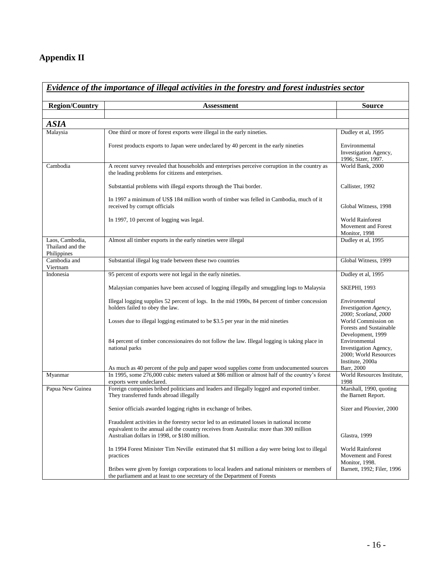# **Appendix II**

| <b>Region/Country</b>                              | <b>Assessment</b>                                                                                                                                                                                                                      | <b>Source</b>                                                                       |
|----------------------------------------------------|----------------------------------------------------------------------------------------------------------------------------------------------------------------------------------------------------------------------------------------|-------------------------------------------------------------------------------------|
|                                                    |                                                                                                                                                                                                                                        |                                                                                     |
| <b>ASIA</b>                                        |                                                                                                                                                                                                                                        |                                                                                     |
| Malaysia                                           | One third or more of forest exports were illegal in the early nineties.                                                                                                                                                                | Dudley et al, 1995                                                                  |
|                                                    | Forest products exports to Japan were undeclared by 40 percent in the early nineties                                                                                                                                                   | Environmental<br>Investigation Agency,<br>1996; Sizer, 1997.                        |
| Cambodia                                           | A recent survey revealed that households and enterprises perceive corruption in the country as<br>the leading problems for citizens and enterprises.                                                                                   | World Bank, 2000                                                                    |
|                                                    | Substantial problems with illegal exports through the Thai border.                                                                                                                                                                     | Callister, 1992                                                                     |
|                                                    | In 1997 a minimum of US\$ 184 million worth of timber was felled in Cambodia, much of it<br>received by corrupt officials                                                                                                              | Global Witness, 1998                                                                |
|                                                    | In 1997, 10 percent of logging was legal.                                                                                                                                                                                              | <b>World Rainforest</b><br>Movement and Forest<br>Monitor, 1998                     |
| Laos. Cambodia.<br>Thailand and the<br>Philippines | Almost all timber exports in the early nineties were illegal                                                                                                                                                                           | Dudley et al, 1995                                                                  |
| Cambodia and<br>Viertnam                           | Substantial illegal log trade between these two countries                                                                                                                                                                              | Global Witness, 1999                                                                |
| Indonesia                                          | 95 percent of exports were not legal in the early nineties.                                                                                                                                                                            | Dudley et al, 1995                                                                  |
|                                                    | Malaysian companies have been accused of logging illegally and smuggling logs to Malaysia                                                                                                                                              | <b>SKEPHI, 1993</b>                                                                 |
|                                                    | Illegal logging supplies 52 percent of logs. In the mid 1990s, 84 percent of timber concession<br>holders failed to obey the law.                                                                                                      | Environmental<br>Investigation Agency,<br>2000; Scotland, 2000                      |
|                                                    | Losses due to illegal logging estimated to be \$3.5 per year in the mid nineties                                                                                                                                                       | World Commission on<br><b>Forests and Sustainable</b><br>Development, 1999          |
|                                                    | 84 percent of timber concessionaires do not follow the law. Illegal logging is taking place in<br>national parks                                                                                                                       | Environmental<br>Investigation Agency,<br>2000; World Resources<br>Institute, 2000a |
|                                                    | As much as 40 percent of the pulp and paper wood supplies come from undocumented sources                                                                                                                                               | Barr, 2000                                                                          |
| Myanmar                                            | In 1995, some 276,000 cubic meters valued at \$86 million or almost half of the country's forest<br>exports were undeclared.                                                                                                           | World Resources Institute,<br>1998                                                  |
| Papua New Guinea                                   | Foreign companies bribed politicians and leaders and illegally logged and exported timber.<br>They transferred funds abroad illegally                                                                                                  | Marshall, 1990, quoting<br>the Barnett Report.                                      |
|                                                    | Senior officials awarded logging rights in exchange of bribes.                                                                                                                                                                         | Sizer and Plouvier, 2000                                                            |
|                                                    | Fraudulent activities in the forestry sector led to an estimated losses in national income<br>equivalent to the annual aid the country receives from Australia: more than 300 million<br>Australian dollars in 1998, or \$180 million. | Glastra, 1999                                                                       |
|                                                    | In 1994 Forest Minister Tim Neville estimated that \$1 million a day were being lost to illegal<br>practices                                                                                                                           | <b>World Rainforest</b><br>Movement and Forest<br>Monitor, 1998.                    |
|                                                    | Bribes were given by foreign corporations to local leaders and national ministers or members of<br>the parliament and at least to one secretary of the Department of Forests                                                           | Barnett, 1992; Filer, 1996                                                          |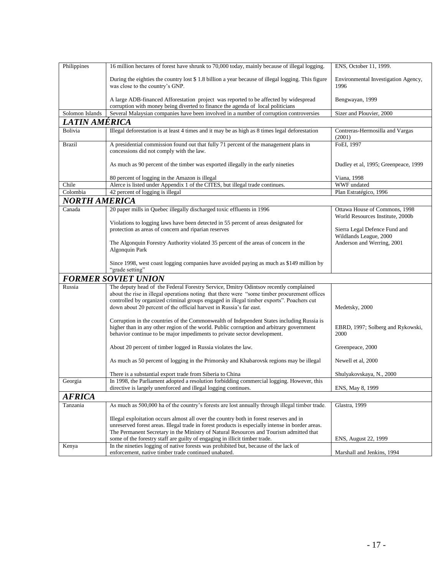| Philippines          | 16 million hectares of forest have shrunk to 70,000 today, mainly because of illegal logging.                                                                                                                                                                     | ENS, October 11, 1999.                                            |  |  |
|----------------------|-------------------------------------------------------------------------------------------------------------------------------------------------------------------------------------------------------------------------------------------------------------------|-------------------------------------------------------------------|--|--|
|                      | During the eighties the country lost \$1.8 billion a year because of illegal logging. This figure<br>was close to the country's GNP.                                                                                                                              | Environmental Investigation Agency,<br>1996                       |  |  |
|                      | A large ADB-financed Afforestation project was reported to be affected by widespread                                                                                                                                                                              | Bengwayan, 1999                                                   |  |  |
| Solomon Islands      | corruption with money being diverted to finance the agenda of local politicians<br>Several Malaysian companies have been involved in a number of corruption controversies                                                                                         | Sizer and Plouvier, 2000                                          |  |  |
|                      |                                                                                                                                                                                                                                                                   |                                                                   |  |  |
| LATIN AMERICA        |                                                                                                                                                                                                                                                                   |                                                                   |  |  |
| Bolivia              | Illegal deforestation is at least 4 times and it may be as high as 8 times legal deforestation                                                                                                                                                                    | Contreras-Hermosilla and Vargas<br>(2001)                         |  |  |
| <b>Brazil</b>        | A presidential commission found out that fully 71 percent of the management plans in<br>concessions did not comply with the law.                                                                                                                                  | FoEI, 1997                                                        |  |  |
|                      | As much as 90 percent of the timber was exported illegally in the early nineties                                                                                                                                                                                  | Dudley et al, 1995; Greenpeace, 1999                              |  |  |
|                      | 80 percent of logging in the Amazon is illegal                                                                                                                                                                                                                    | Viana, 1998                                                       |  |  |
| Chile                | Alerce is listed under Appendix 1 of the CITES, but illegal trade continues.                                                                                                                                                                                      | WWF undated                                                       |  |  |
| Colombia             | 42 percent of logging is illegal                                                                                                                                                                                                                                  | Plan Estratégico, 1996                                            |  |  |
| <b>NORTH AMERICA</b> |                                                                                                                                                                                                                                                                   |                                                                   |  |  |
| Canada               | 20 paper mills in Quebec illegally discharged toxic effluents in 1996                                                                                                                                                                                             | Ottawa House of Commons, 1998<br>World Resources Institute, 2000b |  |  |
|                      | Violations to logging laws have been detected in 55 percent of areas designated for                                                                                                                                                                               |                                                                   |  |  |
|                      | protection as areas of concern and riparian reserves                                                                                                                                                                                                              | Sierra Legal Defence Fund and                                     |  |  |
|                      |                                                                                                                                                                                                                                                                   | Wildlands League, 2000                                            |  |  |
|                      | The Algonquin Forestry Authority violated 35 percent of the areas of concern in the<br>Algonquin Park                                                                                                                                                             | Anderson and Werring, 2001                                        |  |  |
|                      | Since 1998, west coast logging companies have avoided paying as much as \$149 million by<br>"grade setting"                                                                                                                                                       |                                                                   |  |  |
|                      | <b>FORMER SOVIET UNION</b>                                                                                                                                                                                                                                        |                                                                   |  |  |
| Russia               | The deputy head of the Federal Forestry Service, Dmitry Odintsov recently complained                                                                                                                                                                              |                                                                   |  |  |
|                      | about the rise in illegal operations noting that there were "some timber procurement offices                                                                                                                                                                      |                                                                   |  |  |
|                      | controlled by organized criminal groups engaged in illegal timber exports". Poachers cut                                                                                                                                                                          |                                                                   |  |  |
|                      | down about 20 percent of the official harvest in Russia's far east.                                                                                                                                                                                               | Medetsky, 2000                                                    |  |  |
|                      | Corruption in the countries of the Commonwealth of Independent States including Russia is<br>higher than in any other region of the world. Public corruption and arbitrary government<br>behavior continue to be major impediments to private sector development. | EBRD, 1997; Solberg and Rykowski,<br>2000                         |  |  |
|                      | About 20 percent of timber logged in Russia violates the law.                                                                                                                                                                                                     | Greenpeace, 2000                                                  |  |  |
|                      | As much as 50 percent of logging in the Primorsky and Khabarovsk regions may be illegal                                                                                                                                                                           | Newell et al, 2000                                                |  |  |
|                      | There is a substantial export trade from Siberia to China                                                                                                                                                                                                         | Shulyakovskaya, N., 2000                                          |  |  |
| Georgia              | In 1998, the Parliament adopted a resolution forbidding commercial logging. However, this<br>directive is largely unenforced and illegal logging continues.                                                                                                       | ENS, May 8, 1999                                                  |  |  |
| <b>AFRICA</b>        |                                                                                                                                                                                                                                                                   |                                                                   |  |  |
| Tanzania             | As much as 500,000 ha of the country's forests are lost annually through illegal timber trade.                                                                                                                                                                    | Glastra, 1999                                                     |  |  |
|                      | Illegal exploitation occurs almost all over the country both in forest reserves and in                                                                                                                                                                            |                                                                   |  |  |
|                      | unreserved forest areas. Illegal trade in forest products is especially intense in border areas.                                                                                                                                                                  |                                                                   |  |  |
|                      | The Permanent Secretary in the Ministry of Natural Resources and Tourism admitted that                                                                                                                                                                            |                                                                   |  |  |
|                      | some of the forestry staff are guilty of engaging in illicit timber trade.                                                                                                                                                                                        | ENS, August 22, 1999                                              |  |  |
| Kenya                | In the nineties logging of native forests was prohibited but, because of the lack of                                                                                                                                                                              |                                                                   |  |  |
|                      | enforcement, native timber trade continued unabated.                                                                                                                                                                                                              | Marshall and Jenkins, 1994                                        |  |  |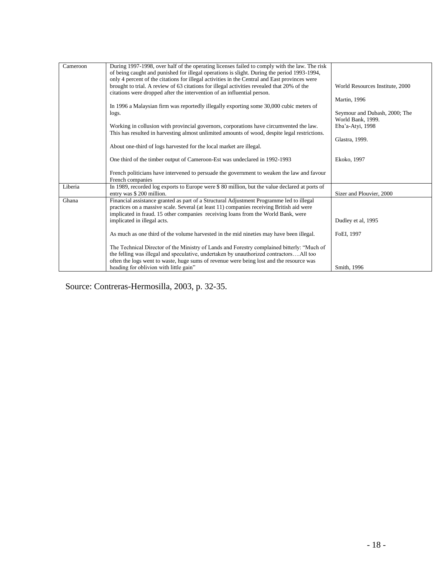| Cameroon | During 1997-1998, over half of the operating licenses failed to comply with the law. The risk<br>of being caught and punished for illegal operations is slight. During the period 1993-1994,<br>only 4 percent of the citations for illegal activities in the Central and East provinces were |                                               |
|----------|-----------------------------------------------------------------------------------------------------------------------------------------------------------------------------------------------------------------------------------------------------------------------------------------------|-----------------------------------------------|
|          | brought to trial. A review of 63 citations for illegal activities revealed that 20% of the<br>citations were dropped after the intervention of an influential person.                                                                                                                         | World Resources Institute, 2000               |
|          | In 1996 a Malaysian firm was reportedly illegally exporting some 30,000 cubic meters of                                                                                                                                                                                                       | Martin, 1996<br>Seymour and Dubash, 2000; The |
|          | logs.<br>Working in collusion with provincial governors, corporations have circumvented the law.                                                                                                                                                                                              | World Bank, 1999.<br>Eba'a-Atvi, 1998         |
|          | This has resulted in harvesting almost unlimited amounts of wood, despite legal restrictions.                                                                                                                                                                                                 | Glastra, 1999.                                |
|          | About one-third of logs harvested for the local market are illegal.                                                                                                                                                                                                                           |                                               |
|          | One third of the timber output of Cameroon-Est was undeclared in 1992-1993                                                                                                                                                                                                                    | Ekoko, 1997                                   |
|          | French politicians have intervened to persuade the government to weaken the law and favour<br>French companies                                                                                                                                                                                |                                               |
| Liberia  | In 1989, recorded log exports to Europe were \$80 million, but the value declared at ports of<br>entry was \$200 million.                                                                                                                                                                     | Sizer and Plouvier, 2000                      |
| Ghana    | Financial assistance granted as part of a Structural Adjustment Programme led to illegal<br>practices on a massive scale. Several (at least 11) companies receiving British aid were                                                                                                          |                                               |
|          | implicated in fraud. 15 other companies receiving loans from the World Bank, were<br>implicated in illegal acts.                                                                                                                                                                              | Dudley et al, 1995                            |
|          | As much as one third of the volume harvested in the mid nineties may have been illegal.                                                                                                                                                                                                       | FoEI, 1997                                    |
|          | The Technical Director of the Ministry of Lands and Forestry complained bitterly: "Much of<br>the felling was illegal and speculative, undertaken by unauthorized contractorsAll too                                                                                                          |                                               |
|          | often the logs went to waste, huge sums of revenue were being lost and the resource was<br>heading for oblivion with little gain"                                                                                                                                                             | Smith, 1996                                   |

Source: Contreras-Hermosilla, 2003, p. 32-35.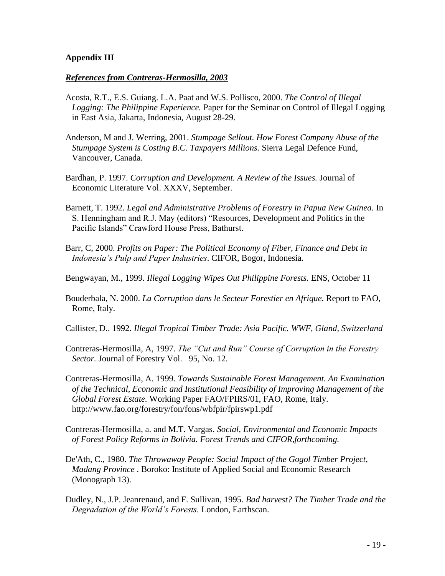## **Appendix III**

### *References from Contreras-Hermosilla, 2003*

- Acosta, R.T., E.S. Guiang. L.A. Paat and W.S. Pollisco, 2000. *The Control of Illegal Logging: The Philippine Experience.* Paper for the Seminar on Control of Illegal Logging in East Asia, Jakarta, Indonesia, August 28-29.
- Anderson, M and J. Werring, 2001. *Stumpage Sellout. How Forest Company Abuse of the Stumpage System is Costing B.C. Taxpayers Millions.* Sierra Legal Defence Fund, Vancouver, Canada.
- Bardhan, P. 1997. *Corruption and Development. A Review of the Issues.* Journal of Economic Literature Vol. XXXV, September.
- Barnett, T. 1992. *Legal and Administrative Problems of Forestry in Papua New Guinea.* In S. Henningham and R.J. May (editors) "Resources, Development and Politics in the Pacific Islands" Crawford House Press, Bathurst.
- Barr, C, 2000. *Profits on Paper: The Political Economy of Fiber, Finance and Debt in Indonesia's Pulp and Paper Industries*. CIFOR, Bogor, Indonesia.
- Bengwayan, M., 1999. *Illegal Logging Wipes Out Philippine Forests.* ENS, October 11
- Bouderbala, N. 2000. *La Corruption dans le Secteur Forestier en Afrique.* Report to FAO, Rome, Italy.
- Callister, D.. 1992. *Illegal Tropical Timber Trade: Asia Pacific. WWF, Gland, Switzerland*
- Contreras-Hermosilla, A, 1997. *The "Cut and Run" Course of Corruption in the Forestry Sector.* Journal of Forestry Vol. 95, No. 12.
- Contreras-Hermosilla, A. 1999. *Towards Sustainable Forest Management. An Examination of the Technical, Economic and Institutional Feasibility of Improving Management of the Global Forest Estate.* Working Paper FAO/FPIRS/01, FAO, Rome, Italy. http://www.fao.org/forestry/fon/fons/wbfpir/fpirswp1.pdf
- Contreras-Hermosilla, a. and M.T. Vargas. *Social, Environmental and Economic Impacts of Forest Policy Reforms in Bolivia. Forest Trends and CIFOR,forthcoming.*
- De'Ath, C., 1980. *The Throwaway People: Social Impact of the Gogol Timber Project, Madang Province* . Boroko: Institute of Applied Social and Economic Research (Monograph 13).
- Dudley, N., J.P. Jeanrenaud, and F. Sullivan, 1995. *Bad harvest? The Timber Trade and the Degradation of the World's Forests.* London, Earthscan.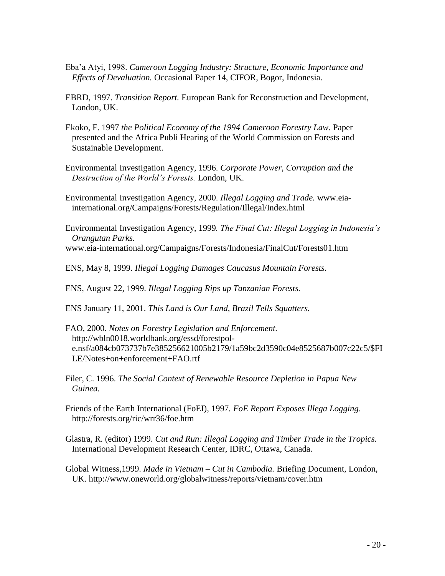- Eba'a Atyi, 1998. *Cameroon Logging Industry: Structure, Economic Importance and Effects of Devaluation.* Occasional Paper 14, CIFOR, Bogor, Indonesia.
- EBRD, 1997. *Transition Report.* European Bank for Reconstruction and Development, London, UK.
- Ekoko, F. 1997 *the Political Economy of the 1994 Cameroon Forestry Law.* Paper presented and the Africa Publi Hearing of the World Commission on Forests and Sustainable Development.
- Environmental Investigation Agency, 1996. *Corporate Power, Corruption and the Destruction of the World's Forests.* London, UK.
- Environmental Investigation Agency, 2000. *Illegal Logging and Trade.* www.eiainternational.org/Campaigns/Forests/Regulation/Illegal/Index.html
- Environmental Investigation Agency, 1999*. The Final Cut: Illegal Logging in Indonesia's Orangutan Parks.*  www.eia-international.org/Campaigns/Forests/Indonesia/FinalCut/Forests01.htm
- ENS, May 8, 1999. *Illegal Logging Damages Caucasus Mountain Forests.*

ENS, August 22, 1999. *Illegal Logging Rips up Tanzanian Forests.*

- ENS January 11, 2001. *This Land is Our Land, Brazil Tells Squatters.*
- FAO, 2000. *Notes on Forestry Legislation and Enforcement.*  http://wbln0018.worldbank.org/essd/forestpole.nsf/a084cb073737b7e385256621005b2179/1a59bc2d3590c04e8525687b007c22c5/\$FI LE/Notes+on+enforcement+FAO.rtf
- Filer, C. 1996. *The Social Context of Renewable Resource Depletion in Papua New Guinea.*
- Friends of the Earth International (FoEI), 1997*. FoE Report Exposes Illega Logging*. http://forests.org/ric/wrr36/foe.htm
- Glastra, R. (editor) 1999. *Cut and Run: Illegal Logging and Timber Trade in the Tropics.* International Development Research Center, IDRC, Ottawa, Canada.
- Global Witness,1999. *Made in Vietnam – Cut in Cambodia.* Briefing Document, London, UK. http://www.oneworld.org/globalwitness/reports/vietnam/cover.htm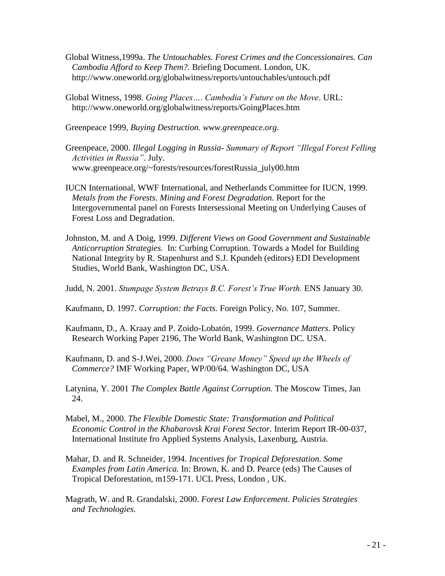- Global Witness,1999a. *The Untouchables. Forest Crimes and the Concessionaires. Can Cambodia Afford to Keep Them?.* Briefing Document. London, UK. http://www.oneworld.org/globalwitness/reports/untouchables/untouch.pdf
- Global Witness, 1998. *Going Places…. Cambodia's Future on the Move*. URL: http://www.oneworld.org/globalwitness/reports/GoingPlaces.htm

Greenpeace 1999, *Buying Destruction. www.greenpeace.org.*

- Greenpeace, 2000. *Illegal Logging in Russia- Summary of Report "Illegal Forest Felling Activities in Russia"*. July. www.greenpeace.org/~forests/resources/forestRussia\_july00.htm
- IUCN International, WWF International, and Netherlands Committee for IUCN, 1999. *Metals from the Forests. Mining and Forest Degradation.* Report for the Intergovernmental panel on Forests Intersessional Meeting on Underlying Causes of Forest Loss and Degradation.
- Johnston, M. and A Doig, 1999. *Different Views on Good Government and Sustainable Anticorruption Strategies.* In: Curbing Corruption. Towards a Model for Building National Integrity by R. Stapenhurst and S.J. Kpundeh (editors) EDI Development Studies, World Bank, Washington DC, USA.

Judd, N. 2001. *Stumpage System Betrays B.C. Forest's True Worth.* ENS January 30.

- Kaufmann, D. 1997. *Corruption: the Facts.* Foreign Policy, No. 107, Summer.
- Kaufmann, D., A. Kraay and P. Zoido-Lobatón, 1999. *Governance Matters*. Policy Research Working Paper 2196, The World Bank, Washington DC. USA.
- Kaufmann, D. and S-J.Wei, 2000. *Does "Grease Money" Speed up the Wheels of Commerce?* IMF Working Paper, WP/00/64. Washington DC, USA
- Latynina, Y. 2001 *The Complex Battle Against Corruption.* The Moscow Times, Jan 24.
- Mabel, M., 2000. *The Flexible Domestic State: Transformation and Political Economic Control in the Khabarovsk Krai Forest Sector.* Interim Report IR-00-037, International Institute fro Applied Systems Analysis, Laxenburg, Austria.
- Mahar, D. and R. Schneider, 1994. *Incentives for Tropical Deforestation. Some Examples from Latin America.* In: Brown, K. and D. Pearce (eds) The Causes of Tropical Deforestation, m159-171. UCL Press, London , UK.
- Magrath, W. and R. Grandalski, 2000. *Forest Law Enforcement. Policies Strategies and Technologies.*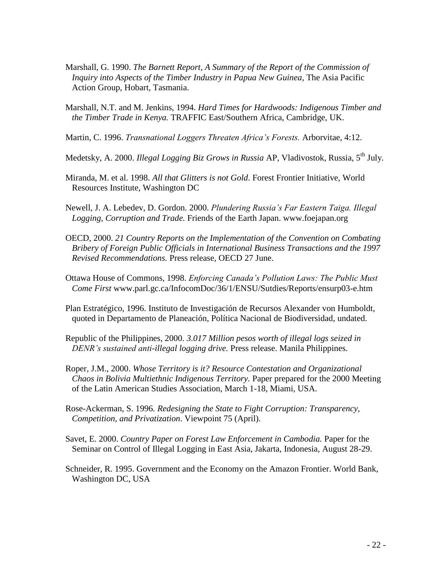- Marshall, G. 1990. *The Barnett Report, A Summary of the Report of the Commission of Inquiry into Aspects of the Timber Industry in Papua New Guinea,* The Asia Pacific Action Group, Hobart, Tasmania.
- Marshall, N.T. and M. Jenkins, 1994. *Hard Times for Hardwoods: Indigenous Timber and the Timber Trade in Kenya.* TRAFFIC East/Southern Africa, Cambridge, UK.
- Martin, C. 1996. *Transnational Loggers Threaten Africa's Forests.* Arborvitae, 4:12.
- Medetsky, A. 2000. *Illegal Logging Biz Grows in Russia* AP, Vladivostok, Russia, 5<sup>th</sup> July.
- Miranda, M. et al. 1998. *All that Glitters is not Gold*. Forest Frontier Initiative, World Resources Institute, Washington DC
- Newell, J. A. Lebedev, D. Gordon. 2000. *Plundering Russia's Far Eastern Taiga. Illegal Logging, Corruption and Trade.* Friends of the Earth Japan. www.foejapan.org
- OECD, 2000. *21 Country Reports on the Implementation of the Convention on Combating Bribery of Foreign Public Officials in International Business Transactions and the 1997 Revised Recommendations.* Press release, OECD 27 June.
- Ottawa House of Commons, 1998. *Enforcing Canada's Pollution Laws: The Public Must Come First* www.parl.gc.ca/InfocomDoc/36/1/ENSU/Sutdies/Reports/ensurp03-e.htm
- Plan Estratégico, 1996. Instituto de Investigación de Recursos Alexander von Humboldt, quoted in Departamento de Planeación, Política Nacional de Biodiversidad, undated.
- Republic of the Philippines, 2000. *3.017 Million pesos worth of illegal logs seized in DENR's sustained anti-illegal logging drive.* Press release. Manila Philippines.
- Roper, J.M., 2000. *Whose Territory is it? Resource Contestation and Organizational Chaos in Bolivia Multiethnic Indigenous Territory.* Paper prepared for the 2000 Meeting of the Latin American Studies Association, March 1-18, Miami, USA.
- Rose-Ackerman, S. 1996*. Redesigning the State to Fight Corruption: Transparency, Competition, and Privatization*. Viewpoint 75 (April).
- Savet, E. 2000. *Country Paper on Forest Law Enforcement in Cambodia.* Paper for the Seminar on Control of Illegal Logging in East Asia, Jakarta, Indonesia, August 28-29.
- Schneider, R. 1995. Government and the Economy on the Amazon Frontier. World Bank, Washington DC, USA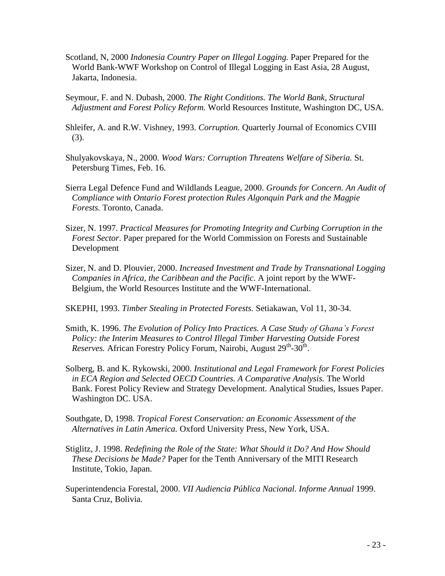- Scotland, N, 2000 *Indonesia Country Paper on Illegal Logging.* Paper Prepared for the World Bank-WWF Workshop on Control of Illegal Logging in East Asia, 28 August, Jakarta, Indonesia.
- Seymour, F. and N. Dubash, 2000. *The Right Conditions. The World Bank, Structural Adjustment and Forest Policy Reform.* World Resources Institute, Washington DC, USA.
- Shleifer, A. and R.W. Vishney, 1993. *Corruption.* Quarterly Journal of Economics CVIII (3).
- Shulyakovskaya, N., 2000. *Wood Wars: Corruption Threatens Welfare of Siberia.* St. Petersburg Times, Feb. 16.
- Sierra Legal Defence Fund and Wildlands League, 2000. *Grounds for Concern. An Audit of Compliance with Ontario Forest protection Rules Algonquin Park and the Magpie Forests.* Toronto, Canada.
- Sizer, N. 1997. *Practical Measures for Promoting Integrity and Curbing Corruption in the Forest Sector*. Paper prepared for the World Commission on Forests and Sustainable Development
- Sizer, N. and D. Plouvier, 2000. *Increased Investment and Trade by Transnational Logging Companies in Africa, the Caribbean and the Pacific.* A joint report by the WWF-Belgium, the World Resources Institute and the WWF-International.

SKEPHI, 1993. *Timber Stealing in Protected Forests.* Setiakawan, Vol 11, 30-34.

- Smith, K. 1996. *The Evolution of Policy Into Practices. A Case Study of Ghana's Forest Policy: the Interim Measures to Control Illegal Timber Harvesting Outside Forest*  Reserves. African Forestry Policy Forum, Nairobi, August 29<sup>th</sup>-30<sup>th</sup>.
- Solberg, B. and K. Rykowski, 2000. *Institutional and Legal Framework for Forest Policies in ECA Region and Selected OECD Countries. A Comparative Analysis.* The World Bank. Forest Policy Review and Strategy Development. Analytical Studies, Issues Paper. Washington DC. USA.
- Southgate, D, 1998. *Tropical Forest Conservation: an Economic Assessment of the Alternatives in Latin America.* Oxford University Press, New York, USA.
- Stiglitz, J. 1998. *Redefining the Role of the State: What Should it Do? And How Should These Decisions be Made?* Paper for the Tenth Anniversary of the MITI Research Institute, Tokio, Japan.
- Superintendencia Forestal, 2000. *VII Audiencia Pública Nacional. Informe Annual* 1999. Santa Cruz, Bolivia.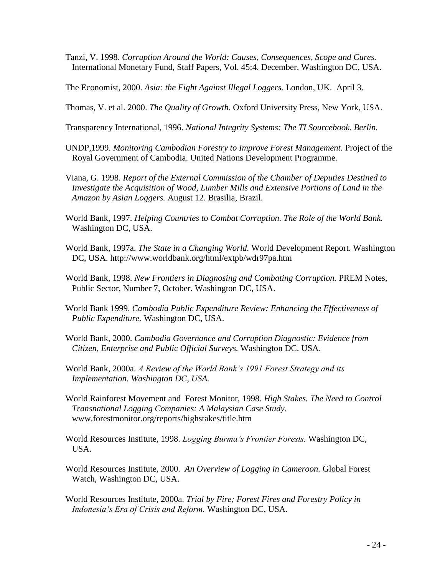- Tanzi, V. 1998. *Corruption Around the World: Causes, Consequences, Scope and Cures.* International Monetary Fund, Staff Papers, Vol. 45:4. December. Washington DC, USA.
- The Economist, 2000. *Asia: the Fight Against Illegal Loggers.* London, UK. April 3.
- Thomas, V. et al. 2000. *The Quality of Growth.* Oxford University Press, New York, USA.
- Transparency International, 1996. *National Integrity Systems: The TI Sourcebook. Berlin.*
- UNDP,1999. *Monitoring Cambodian Forestry to Improve Forest Management.* Project of the Royal Government of Cambodia. United Nations Development Programme.
- Viana, G. 1998. *Report of the External Commission of the Chamber of Deputies Destined to Investigate the Acquisition of Wood, Lumber Mills and Extensive Portions of Land in the Amazon by Asian Loggers.* August 12. Brasilia, Brazil.
- World Bank, 1997. *Helping Countries to Combat Corruption. The Role of the World Bank.*  Washington DC, USA.
- World Bank, 1997a. *The State in a Changing World.* World Development Report. Washington DC, USA. http://www.worldbank.org/html/extpb/wdr97pa.htm
- World Bank, 1998. *New Frontiers in Diagnosing and Combating Corruption.* PREM Notes, Public Sector, Number 7, October. Washington DC, USA.
- World Bank 1999. *Cambodia Public Expenditure Review: Enhancing the Effectiveness of Public Expenditure.* Washington DC, USA.
- World Bank, 2000. *Cambodia Governance and Corruption Diagnostic: Evidence from Citizen, Enterprise and Public Official Surveys.* Washington DC. USA.
- World Bank, 2000a. *A Review of the World Bank's 1991 Forest Strategy and its Implementation. Washington DC, USA.*
- World Rainforest Movement and Forest Monitor, 1998. *High Stakes. The Need to Control Transnational Logging Companies: A Malaysian Case Study.* www.forestmonitor.org/reports/highstakes/title.htm
- World Resources Institute, 1998. *Logging Burma's Frontier Forests.* Washington DC, USA.
- World Resources Institute, 2000. *An Overview of Logging in Cameroon.* Global Forest Watch, Washington DC, USA.
- World Resources Institute, 2000a. *Trial by Fire; Forest Fires and Forestry Policy in Indonesia's Era of Crisis and Reform.* Washington DC, USA.